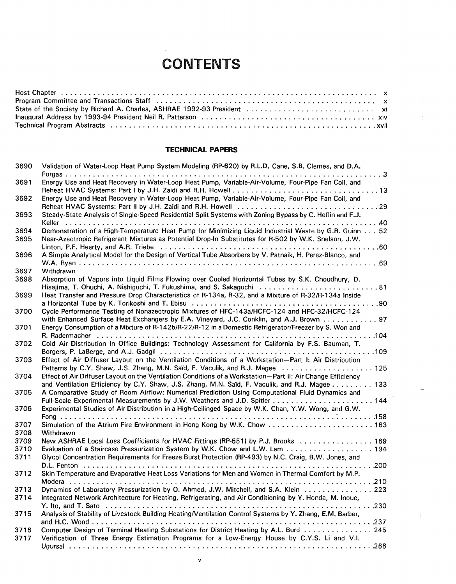## **CONTENTS**

## **TECHNICAL PAPERS**

| 3690 | Validation of Water-Loop Heat Pump System Modeling (RP-620) by R.L.D. Cane, S.B. Clemes, and D.A.                                                                                                             |
|------|---------------------------------------------------------------------------------------------------------------------------------------------------------------------------------------------------------------|
| 3691 | Energy Use and Heat Recovery in Water-Loop Heat Pump, Variable-Air-Volume, Four-Pipe Fan Coil, and                                                                                                            |
| 3692 | Energy Use and Heat Recovery in Water-Loop Heat Pump, Variable-Air-Volume, Four-Pipe Fan Coil, and                                                                                                            |
| 3693 | Steady-State Analysis of Single-Speed Residential Split Systems with Zoning Bypass by C. Heflin and F.J.                                                                                                      |
| 3694 | Demonstration of a High-Temperature Heat Pump for Minimizing Liquid Industrial Waste by G.R. Guinn 52                                                                                                         |
| 3695 | Near-Azeotropic Refrigerant Mixtures as Potential Drop-In Substitutes for R-502 by W.K. Snelson, J.W.                                                                                                         |
| 3696 | A Simple Analytical Model for the Design of Vertical Tube Absorbers by V. Patnaik, H. Perez-Blanco, and                                                                                                       |
| 3697 | Withdrawn                                                                                                                                                                                                     |
| 3698 | Absorption of Vapors into Liquid Films Flowing over Cooled Horizontal Tubes by S.K. Choudhury, D.                                                                                                             |
| 3699 | Hisajima, T. Ohuchi, A. Nishiguchi, T. Fukushima, and S. Sakaguchi  81<br>Heat Transfer and Pressure Drop Characteristics of R-134a, R-32, and a Mixture of R-32/R-134a Inside                                |
|      |                                                                                                                                                                                                               |
| 3700 | Cycle Performance Testing of Nonazeotropic Mixtures of HFC-143a/HCFC-124 and HFC-32/HCFC-124<br>with Enhanced Surface Heat Exchangers by E.A. Vineyard, J.C. Conklin, and A.J. Brown 97                       |
| 3701 | Energy Consumption of a Mixture of R-142b/R-22/R-12 in a Domestic Refrigerator/Freezer by S. Won and                                                                                                          |
| 3702 | Cold Air Distribution in Office Buildings: Technology Assessment for California by F.S. Bauman, T.                                                                                                            |
| 3703 | Effect of Air Diffuser Layout on the Ventilation Conditions of a Workstation-Part I: Air Distribution<br>Patterns by C.Y. Shaw, J.S. Zhang, M.N. Saïd, F. Vaculik, and R.J. Magee  125                        |
| 3704 | Effect of Air Diffuser Layout on the Ventilation Conditions of a Workstation-Part II: Air Change Efficiency<br>and Ventilation Efficiency by C.Y. Shaw, J.S. Zhang, M.N. Saïd, F. Vaculik, and R.J. Magee 133 |
| 3705 | A Comparative Study of Room Airflow: Numerical Prediction Using Computational Fluid Dynamics and                                                                                                              |
| 3706 | Experimental Studies of Air Distribution in a High-Ceilinged Space by W.K. Chan, Y.W. Wong, and G.W.                                                                                                          |
|      |                                                                                                                                                                                                               |
| 3707 | Simulation of the Atrium Fire Environment in Hong Kong by W.K. Chow  163                                                                                                                                      |
| 3708 | Withdrawn                                                                                                                                                                                                     |
| 3709 | New ASHRAE Local Loss Coefficients for HVAC Fittings (RP-551) by P.J. Brooks  169                                                                                                                             |
| 3710 | Evaluation of a Staircase Pressurization System by W.K. Chow and L.W. Lam 194                                                                                                                                 |
| 3711 | Glycol Concentration Requirements for Freeze Burst Protection (RP-493) by N.C. Craig, B.W. Jones, and                                                                                                         |
| 3712 | Skin Temperature and Evaporative Heat Loss Variations for Men and Women in Thermal Comfort by M.P.                                                                                                            |
|      |                                                                                                                                                                                                               |
| 3713 | Dynamics of Laboratory Pressurization by O. Ahmed, J.W. Mitchell, and S.A. Klein  223                                                                                                                         |
| 3714 | Integrated Network Architecture for Heating, Refrigerating, and Air Conditioning by Y. Honda, M. Inoue,                                                                                                       |
| 3715 | Analysis of Stability of Livestock Building Heating/Ventilation Control Systems by Y. Zhang, E.M. Barber,                                                                                                     |
| 3716 | Computer Design of Terminal Heating Substations for District Heating by A.L. Burd 245                                                                                                                         |
| 3717 | Verification of Three Energy Estimation Programs for a Low-Energy House by C.Y.S. Li and V.I.                                                                                                                 |
|      |                                                                                                                                                                                                               |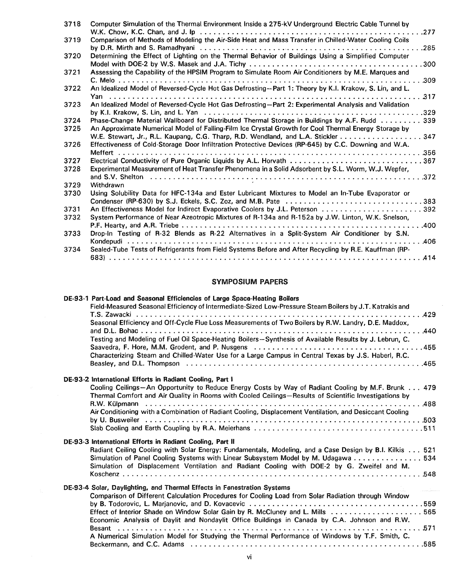|      | Computer Simulation of the Thermal Environment Inside a 275-kV Underground Electric Cable Tunnel by                                                                        |
|------|----------------------------------------------------------------------------------------------------------------------------------------------------------------------------|
| 3719 | Comparison of Methods of Modeling the Air-Side Heat and Mass Transfer in Chilled-Water Cooling Coils                                                                       |
|      |                                                                                                                                                                            |
| 3720 | Determining the Effect of Lighting on the Thermal Behavior of Buildings Using a Simplified Computer                                                                        |
|      |                                                                                                                                                                            |
| 3721 | Assessing the Capability of the HPSIM Program to Simulate Room Air Conditioners by M.E. Marques and                                                                        |
|      | .309                                                                                                                                                                       |
| 3722 | An Idealized Model of Reversed-Cycle Hot Gas Defrosting--Part 1: Theory by K.I. Krakow, S. Lin, and L.                                                                     |
|      | 317                                                                                                                                                                        |
| 3723 | An Idealized Model of Reversed-Cycle Hot Gas Defrosting-Part 2: Experimental Analysis and Validation                                                                       |
|      |                                                                                                                                                                            |
| 3724 | Phase-Change Material Wallboard for Distributed Thermal Storage in Buildings by A.F. Rudd 339                                                                              |
| 3725 | An Approximate Numerical Model of Falling-Film Ice Crystal Growth for Cool Thermal Energy Storage by                                                                       |
|      | W.E. Stewart, Jr., R.L. Kaupang, C.G. Tharp, R.D. Wendland, and L.A. Stickler  347                                                                                         |
| 3726 | Effectiveness of Cold-Storage Door Infiltration Protective Devices (RP-645) by C.C. Downing and W.A.                                                                       |
|      |                                                                                                                                                                            |
| 3727 | Electrical Conductivity of Pure Organic Liquids by A.L. Horvath 367<br>Experimental Measurement of Heat Transfer Phenomena in a Solid Adsorbent by S.L. Worm, W.J. Wepfer, |
| 3728 |                                                                                                                                                                            |
| 3729 | Withdrawn                                                                                                                                                                  |
| 3730 | Using Solubility Data for HFC-134a and Ester Lubricant Mixtures to Model an In-Tube Evaporator or                                                                          |
|      | Condenser (RP-630) by S.J. Eckels, S.C. Zoz, and M.B. Pate 383                                                                                                             |
| 3731 |                                                                                                                                                                            |
| 3732 | System Performance of Near Azeotropic Mixtures of R-134a and R-152a by J.W. Linton, W.K. Snelson,                                                                          |
|      |                                                                                                                                                                            |
| 3733 | Drop-In Testing of R-32 Blends as R-22 Alternatives in a Split-System Air Conditioner by S.N.                                                                              |
|      |                                                                                                                                                                            |
| 3734 | Sealed-Tube Tests of Refrigerants from Field Systems Before and After Recycling by R.E. Kauffman (RP-                                                                      |
|      |                                                                                                                                                                            |

## **SYMPOSIUM PAPERS**

 $\mathcal{L}^{\pm}$ 

| DE-93-1 Part-Load and Seasonal Efficiencies of Large Space-Heating Boilers                                                                                                                                                                                                                                                            |
|---------------------------------------------------------------------------------------------------------------------------------------------------------------------------------------------------------------------------------------------------------------------------------------------------------------------------------------|
| Field-Measured Seasonal Efficiency of Intermediate-Sized Low-Pressure Steam Boilers by J.T. Katrakis and<br>Seasonal Efficiency and Off-Cycle Flue Loss Measurements of Two Boilers by R.W. Landry, D.E. Maddox,                                                                                                                      |
| Testing and Modeling of Fuel Oil Space-Heating Boilers-Synthesis of Available Results by J. Lebrun, C.                                                                                                                                                                                                                                |
| Characterizing Steam and Chilled-Water Use for a Large Campus in Central Texas by J.S. Haberl, R.C.                                                                                                                                                                                                                                   |
| Beasley, and D.L. Thompson $\dots\dots\dots\dots\dots\dots\dots\dots\dots\dots\dots\dots\dots\dots\dots\dots\dots\dots$                                                                                                                                                                                                               |
| DE-93-2 International Efforts in Radiant Cooling, Part I                                                                                                                                                                                                                                                                              |
| Cooling Ceilings-An Opportunity to Reduce Energy Costs by Way of Radiant Cooling by M.F. Brunk 479<br>Thermal Comfort and Air Quality in Rooms with Cooled Ceilings-Results of Scientific Investigations by                                                                                                                           |
| Air Conditioning with a Combination of Radiant Cooling, Displacement Ventilation, and Desiccant Cooling                                                                                                                                                                                                                               |
|                                                                                                                                                                                                                                                                                                                                       |
| DE-93-3 International Efforts in Radiant Cooling, Part II                                                                                                                                                                                                                                                                             |
| Radiant Ceiling Cooling with Solar Energy: Fundamentals, Modeling, and a Case Design by B.I. Kilkis 521<br>Simulation of Panel Cooling Systems with Linear Subsystem Model by M. Udagawa 534<br>Simulation of Displacement Ventilation and Radiant Cooling with DOE-2 by G. Zweifel and M.                                            |
|                                                                                                                                                                                                                                                                                                                                       |
| DE-93-4 Solar, Daylighting, and Thermal Effects in Fenestration Systems                                                                                                                                                                                                                                                               |
| Comparison of Different Calculation Procedures for Cooling Load from Solar Radiation through Window<br>by B. Todorovic, L. Marianovic, and D. Kovacevic $\ldots \ldots \ldots \ldots \ldots \ldots \ldots \ldots \ldots \ldots \ldots \ldots \ldots$<br>Effect of Interior Shade on Window Solar Gain by R. McCluney and L. Mills 565 |
| Economic Analysis of Daylit and Nondaylit Office Buildings in Canada by C.A. Johnson and R.W.<br>A Numerical Simulation Model for Studying the Thermal Performance of Windows by T.F. Smith, C.                                                                                                                                       |
|                                                                                                                                                                                                                                                                                                                                       |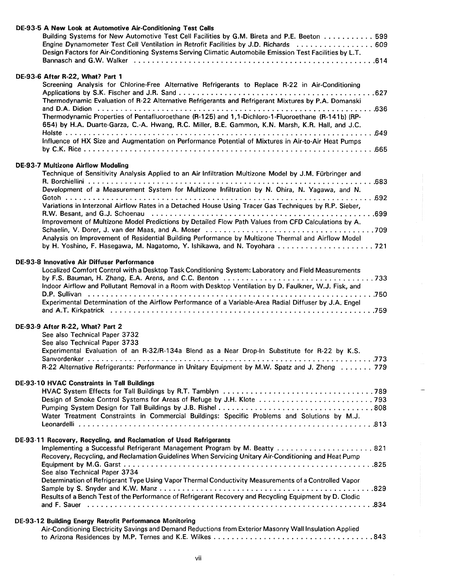| DE-93-5 A New Look at Automotive Air-Conditioning Test Cells<br>Building Systems for New Automotive Test Cell Facilities by G.M. Bireta and P.E. Beeton  599<br>Engine Dynamometer Test Cell Ventilation in Retrofit Facilities by J.D. Richards  609<br>Design Factors for Air-Conditioning Systems Serving Climatic Automobile Emission Test Facilities by L.T.                                                                                                                                                                                                                                                                                          |
|------------------------------------------------------------------------------------------------------------------------------------------------------------------------------------------------------------------------------------------------------------------------------------------------------------------------------------------------------------------------------------------------------------------------------------------------------------------------------------------------------------------------------------------------------------------------------------------------------------------------------------------------------------|
| DE-93-6 After R-22, What? Part 1<br>Screening Analysis for Chlorine-Free Alternative Refrigerants to Replace R-22 in Air-Conditioning<br>Thermodynamic Evaluation of R-22 Alternative Refrigerants and Refrigerant Mixtures by P.A. Domanski<br>Thermodynamic Properties of Pentafluoroethane (R-125) and 1,1-Dichloro-1-Fluoroethane (R-141b) (RP-<br>654) by H.A. Duarte-Garza, C.-A. Hwang, R.C. Miller, B.E. Gammon, K.N. Marsh, K.R. Hall, and J.C.<br>Influence of HX Size and Augmentation on Performance Potential of Mixtures in Air-to-Air Heat Pumps                                                                                            |
| <b>DE-93-7 Multizone Airflow Modeling</b><br>Technique of Sensitivity Analysis Applied to an Air Infiltration Multizone Model by J.M. Fürbringer and<br>Development of a Measurement System for Multizone Infiltration by N. Ohira, N. Yagawa, and N.<br>Variations in Interzonal Airflow Rates in a Detached House Using Tracer Gas Techniques by R.P. Sieber,<br>Improvement of Multizone Model Predictions by Detailed Flow Path Values from CFD Calculations by A.<br>Analysis on Improvement of Residential Building Performance by Multizone Thermal and Airflow Model<br>by H. Yoshino, F. Hasegawa, M. Nagatomo, Y. Ishikawa, and N. Toyohara  721 |
| DE-93-8 Innovative Air Diffuser Performance<br>Localized Comfort Control with a Desktop Task Conditioning System: Laboratory and Field Measurements<br>Indoor Airflow and Pollutant Removal in a Room with Desktop Ventilation by D. Faulkner, W.J. Fisk, and<br>Experimental Determination of the Airflow Performance of a Variable-Area Radial Diffuser by J.A. Engel                                                                                                                                                                                                                                                                                    |
| DE-93-9 After R-22, What? Part 2<br>See also Technical Paper 3732<br>See also Technical Paper 3733<br>Experimental Evaluation of an R-32/R-134a Blend as a Near Drop-In Substitute for R-22 by K.S.<br>R-22 Alternative Refrigerants: Performance in Unitary Equipment by M.W. Spatz and J. Zheng 779                                                                                                                                                                                                                                                                                                                                                      |
| <b>DE-93-10 HVAC Constraints in Tall Buildings</b><br>Water Treatment Constraints in Commercial Buildings: Specific Problems and Solutions by M.J.                                                                                                                                                                                                                                                                                                                                                                                                                                                                                                         |
| DE-93-11 Recovery, Recycling, and Reclamation of Used Refrigerants<br>Implementing a Successful Refrigerant Management Program by M. Beatty  821<br>Recovery, Recycling, and Reclamation Guidelines When Servicing Unitary Air-Conditioning and Heat Pump<br>See also Technical Paper 3734<br>Determination of Refrigerant Type Using Vapor Thermal Conductivity Measurements of a Controlled Vapor<br>Results of a Bench Test of the Performance of Refrigerant Recovery and Recycling Equipment by D. Clodic                                                                                                                                             |
| DE-93-12 Building Energy Retrofit Performance Monitoring<br>Air-Conditioning Electricity Savings and Demand Reductions from Exterior Masonry Wall Insulation Applied                                                                                                                                                                                                                                                                                                                                                                                                                                                                                       |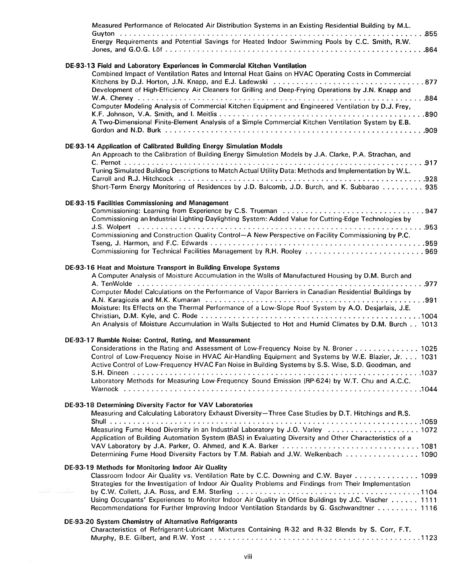| Measured Performance of Relocated Air Distribution Systems in an Existing Residential Building by M.L.<br>Energy Requirements and Potential Savings for Heated Indoor Swimming Pools by C.C. Smith, R.W.                                                                                                                                                                                                                                                                                                 |
|----------------------------------------------------------------------------------------------------------------------------------------------------------------------------------------------------------------------------------------------------------------------------------------------------------------------------------------------------------------------------------------------------------------------------------------------------------------------------------------------------------|
| DE-93-13 Field and Laboratory Experiences in Commercial Kitchen Ventilation<br>Combined Impact of Ventilation Rates and Internal Heat Gains on HVAC Operating Costs in Commercial<br>Development of High-Efficiency Air Cleaners for Grilling and Deep-Frying Operations by J.N. Knapp and<br>Computer Modeling Analysis of Commercial Kitchen Equipment and Engineered Ventilation by D.J. Frey,<br>A Two-Dimensional Finite-Element Analysis of a Simple Commercial Kitchen Ventilation System by E.B. |
| DE-93-14 Application of Calibrated Building Energy Simulation Models<br>An Approach to the Calibration of Building Energy Simulation Models by J.A. Clarke, P.A. Strachan, and<br>Tuning Simulated Building Descriptions to Match Actual Utility Data: Methods and Implementation by W.L.<br>Short-Term Energy Monitoring of Residences by J.D. Balcomb, J.D. Burch, and K. Subbarao 935                                                                                                                 |
| DE-93-15 Facilities Commissioning and Management<br>Commissioning an Industrial Lighting-Daylighting System: Added Value for Cutting-Edge Technologies by<br>Commissioning and Construction Quality Control-A New Perspective on Facility Commissioning by P.C.<br>Commissioning for Technical Facilities Management by R.H. Rooley 969                                                                                                                                                                  |
| DE-93-16 Heat and Moisture Transport in Building Envelope Systems<br>A Computer Analysis of Moisture Accumulation in the Walls of Manufactured Housing by D.M. Burch and<br>Computer Model Calculations on the Performance of Vapor Barriers in Canadian Residential Buildings by<br>Moisture: Its Effects on the Thermal Performance of a Low-Slope Roof System by A.O. Desjarlais, J.E.<br>An Analysis of Moisture Accumulation in Walls Subjected to Hot and Humid Climates by D.M. Burch 1013        |
| DE-93-17 Rumble Noise: Control, Rating, and Measurement<br>Considerations in the Rating and Assessment of Low-Frequency Noise by N. Broner 1025<br>Control of Low-Frequency Noise in HVAC Air-Handling Equipment and Systems by W.E. Blazier, Jr. 1031<br>Active Control of Low-Frequency HVAC Fan Noise in Building Systems by S.S. Wise, S.D. Goodman, and<br>Laboratory Methods for Measuring Low-Frequency Sound Emission (RP-624) by W.T. Chu and A.C.C.                                            |
| DE-93-18 Determining Diversity Factor for VAV Laboratories<br>Measuring and Calculating Laboratory Exhaust Diversity-Three Case Studies by D.T. Hitchings and R.S.<br>Measuring Fume Hood Diversity in an Industrial Laboratory by J.O. Varley  1072<br>Application of Building Automation System (BAS) in Evaluating Diversity and Other Characteristics of a<br>Determining Fume Hood Diversity Factors by T.M. Rabiah and J.W. Welkenbach  1090                                                       |
| DE-93-19 Methods for Monitoring Indoor Air Quality<br>Classroom Indoor Air Quality vs. Ventilation Rate by C.C. Downing and C.W. Bayer 1099<br>Strategies for the Investigation of Indoor Air Quality Problems and Findings from Their Implementation<br>25.52<br>Using Occupants' Experiences to Monitor Indoor Air Quality in Office Buildings by J.C. Vischer 1111<br>Recommendations for Further Improving Indoor Ventilation Standards by G. Gschwandtner 1116                                      |
| DE-93-20 System Chemistry of Alternative Refrigerants<br>Characteristics of Refrigerant-Lubricant Mixtures Containing R-32 and R-32 Blends by S. Corr, F.T.                                                                                                                                                                                                                                                                                                                                              |